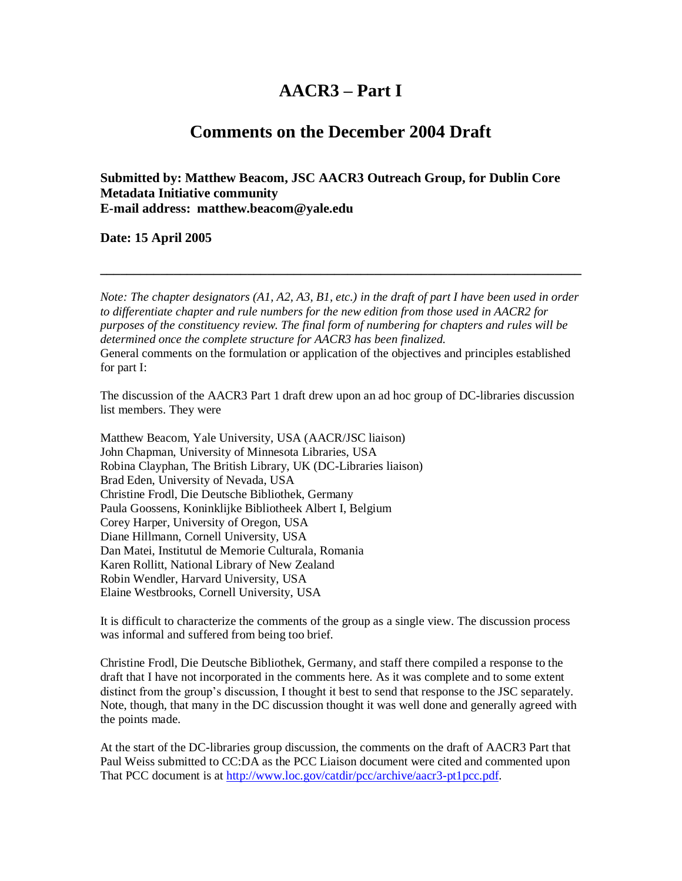# **AACR3 – Part I**

## **Comments on the December 2004 Draft**

### **Submitted by: Matthew Beacom, JSC AACR3 Outreach Group, for Dublin Core Metadata Initiative community E-mail address: matthew.beacom@yale.edu**

**Date: 15 April 2005**

*Note: The chapter designators (A1, A2, A3, B1, etc.) in the draft of part I have been used in order to differentiate chapter and rule numbers for the new edition from those used in AACR2 for purposes of the constituency review. The final form of numbering for chapters and rules will be determined once the complete structure for AACR3 has been finalized.* General comments on the formulation or application of the objectives and principles established for part I:

**\_\_\_\_\_\_\_\_\_\_\_\_\_\_\_\_\_\_\_\_\_\_\_\_\_\_\_\_\_\_\_\_\_\_\_\_\_\_\_\_\_\_\_\_\_\_\_\_\_\_\_\_\_\_\_\_\_\_\_\_\_\_\_\_\_\_\_\_\_\_\_\_**

The discussion of the AACR3 Part 1 draft drew upon an ad hoc group of DC-libraries discussion list members. They were

Matthew Beacom, Yale University, USA (AACR/JSC liaison) John Chapman, University of Minnesota Libraries, USA Robina Clayphan, The British Library, UK (DC-Libraries liaison) Brad Eden, University of Nevada, USA Christine Frodl, Die Deutsche Bibliothek, Germany Paula Goossens, Koninklijke Bibliotheek Albert I, Belgium Corey Harper, University of Oregon, USA Diane Hillmann, Cornell University, USA Dan Matei, Institutul de Memorie Culturala, Romania Karen Rollitt, National Library of New Zealand Robin Wendler, Harvard University, USA Elaine Westbrooks, Cornell University, USA

It is difficult to characterize the comments of the group as a single view. The discussion process was informal and suffered from being too brief.

Christine Frodl, Die Deutsche Bibliothek, Germany, and staff there compiled a response to the draft that I have not incorporated in the comments here. As it was complete and to some extent distinct from the group's discussion, I thought it best to send that response to the JSC separately. Note, though, that many in the DC discussion thought it was well done and generally agreed with the points made.

At the start of the DC-libraries group discussion, the comments on the draft of AACR3 Part that Paul Weiss submitted to CC:DA as the PCC Liaison document were cited and commented upon That PCC document is at [http://www.loc.gov/catdir/pcc/archive/aacr3-pt1pcc.pdf.](http://www.loc.gov/catdir/pcc/archive/aacr3-pt1pcc.pdf)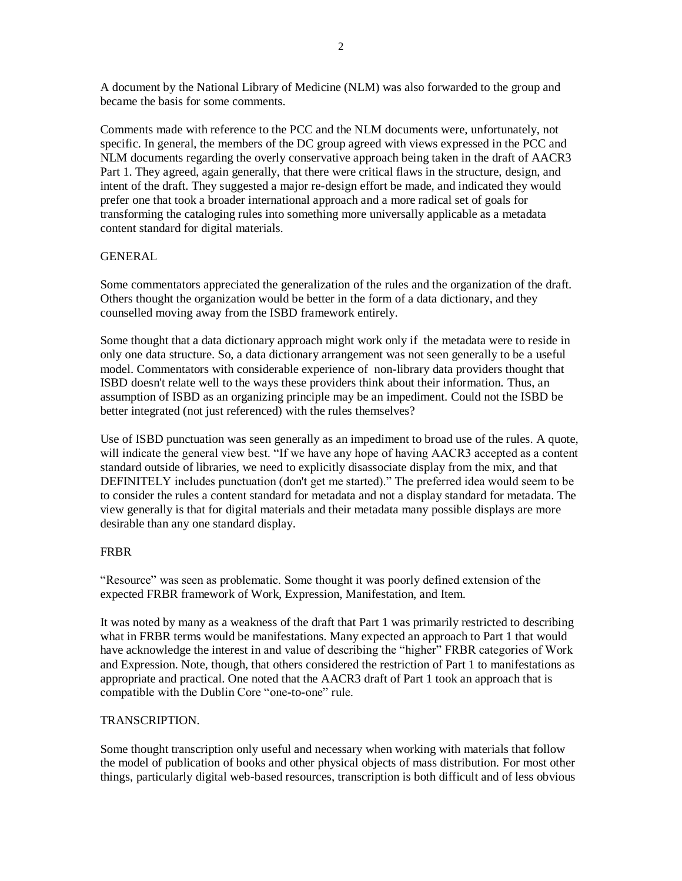A document by the National Library of Medicine (NLM) was also forwarded to the group and became the basis for some comments.

Comments made with reference to the PCC and the NLM documents were, unfortunately, not specific. In general, the members of the DC group agreed with views expressed in the PCC and NLM documents regarding the overly conservative approach being taken in the draft of AACR3 Part 1. They agreed, again generally, that there were critical flaws in the structure, design, and intent of the draft. They suggested a major re-design effort be made, and indicated they would prefer one that took a broader international approach and a more radical set of goals for transforming the cataloging rules into something more universally applicable as a metadata content standard for digital materials.

#### GENERAL

Some commentators appreciated the generalization of the rules and the organization of the draft. Others thought the organization would be better in the form of a data dictionary, and they counselled moving away from the ISBD framework entirely.

Some thought that a data dictionary approach might work only if the metadata were to reside in only one data structure. So, a data dictionary arrangement was not seen generally to be a useful model. Commentators with considerable experience of non-library data providers thought that ISBD doesn't relate well to the ways these providers think about their information. Thus, an assumption of ISBD as an organizing principle may be an impediment. Could not the ISBD be better integrated (not just referenced) with the rules themselves?

Use of ISBD punctuation was seen generally as an impediment to broad use of the rules. A quote, will indicate the general view best. "If we have any hope of having AACR3 accepted as a content standard outside of libraries, we need to explicitly disassociate display from the mix, and that DEFINITELY includes punctuation (don't get me started)." The preferred idea would seem to be to consider the rules a content standard for metadata and not a display standard for metadata. The view generally is that for digital materials and their metadata many possible displays are more desirable than any one standard display.

#### FRBR

"Resource" was seen as problematic. Some thought it was poorly defined extension of the expected FRBR framework of Work, Expression, Manifestation, and Item.

It was noted by many as a weakness of the draft that Part 1 was primarily restricted to describing what in FRBR terms would be manifestations. Many expected an approach to Part 1 that would have acknowledge the interest in and value of describing the "higher" FRBR categories of Work and Expression. Note, though, that others considered the restriction of Part 1 to manifestations as appropriate and practical. One noted that the AACR3 draft of Part 1 took an approach that is compatible with the Dublin Core "one-to-one" rule.

#### TRANSCRIPTION.

Some thought transcription only useful and necessary when working with materials that follow the model of publication of books and other physical objects of mass distribution. For most other things, particularly digital web-based resources, transcription is both difficult and of less obvious